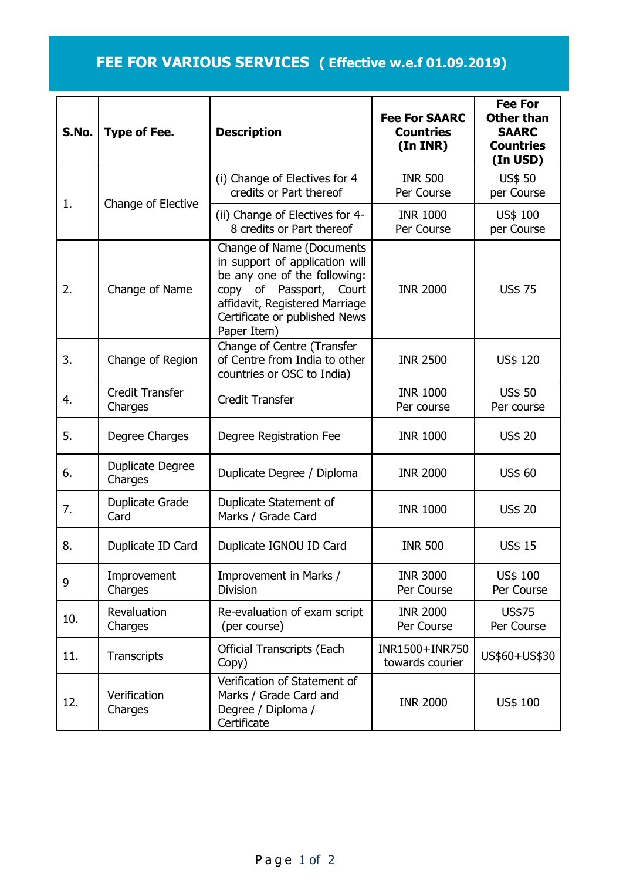## **FEE FOR VARIOUS SERVICES ( Effective w.e.f 01.09.2019)**

| S.No. | <b>Type of Fee.</b>               | <b>Description</b>                                                                                                                                                                                              | <b>Fee For SAARC</b><br><b>Countries</b><br>(In INR) | <b>Fee For</b><br><b>Other than</b><br><b>SAARC</b><br><b>Countries</b><br>(In USD) |
|-------|-----------------------------------|-----------------------------------------------------------------------------------------------------------------------------------------------------------------------------------------------------------------|------------------------------------------------------|-------------------------------------------------------------------------------------|
| 1.    | Change of Elective                | (i) Change of Electives for 4<br>credits or Part thereof                                                                                                                                                        | <b>INR 500</b><br>Per Course                         | <b>US\$ 50</b><br>per Course                                                        |
|       |                                   | (ii) Change of Electives for 4-<br>8 credits or Part thereof                                                                                                                                                    | <b>INR 1000</b><br>Per Course                        | US\$ 100<br>per Course                                                              |
| 2.    | Change of Name                    | <b>Change of Name (Documents</b><br>in support of application will<br>be any one of the following:<br>copy of Passport, Court<br>affidavit, Registered Marriage<br>Certificate or published News<br>Paper Item) | <b>INR 2000</b>                                      | US\$ 75                                                                             |
| 3.    | Change of Region                  | Change of Centre (Transfer<br>of Centre from India to other<br>countries or OSC to India)                                                                                                                       | <b>INR 2500</b>                                      | US\$ 120                                                                            |
| 4.    | <b>Credit Transfer</b><br>Charges | <b>Credit Transfer</b>                                                                                                                                                                                          | <b>INR 1000</b><br>Per course                        | <b>US\$ 50</b><br>Per course                                                        |
| 5.    | Degree Charges                    | Degree Registration Fee                                                                                                                                                                                         | <b>INR 1000</b>                                      | US\$ 20                                                                             |
| 6.    | Duplicate Degree<br>Charges       | Duplicate Degree / Diploma                                                                                                                                                                                      | <b>INR 2000</b>                                      | US\$ 60                                                                             |
| 7.    | Duplicate Grade<br>Card           | Duplicate Statement of<br>Marks / Grade Card                                                                                                                                                                    | <b>INR 1000</b>                                      | US\$ 20                                                                             |
| 8.    | Duplicate ID Card                 | Duplicate IGNOU ID Card                                                                                                                                                                                         | <b>INR 500</b>                                       | US\$ 15                                                                             |
| 9     | Improvement<br>Charges            | Improvement in Marks /<br><b>Division</b>                                                                                                                                                                       | <b>INR 3000</b><br>Per Course                        | US\$ 100<br>Per Course                                                              |
| 10.   | Revaluation<br>Charges            | Re-evaluation of exam script<br>(per course)                                                                                                                                                                    | <b>INR 2000</b><br>Per Course                        | US\$75<br>Per Course                                                                |
| 11.   | Transcripts                       | <b>Official Transcripts (Each</b><br>Copy)                                                                                                                                                                      | INR1500+INR750<br>towards courier                    | US\$60+US\$30                                                                       |
| 12.   | Verification<br>Charges           | Verification of Statement of<br>Marks / Grade Card and<br>Degree / Diploma /<br>Certificate                                                                                                                     | <b>INR 2000</b>                                      | US\$ 100                                                                            |